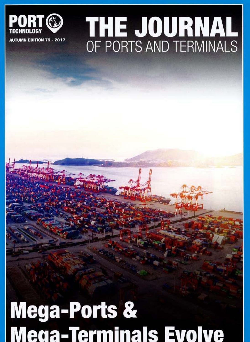### PORT  $\mathbb{C}$

## **THE JOURNAL**  AUTUMN EDITION 75 - 2017 OF PORTS AND TERMINALS

# **Mega-Ports** &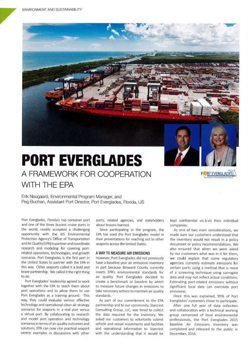

Erik Neugaard, Environmental Program Manager, and Peg Buchan, Assistant Port Director, Port Everglades, Florida, US

Port Everglades, Florida's top container port and one of the three busiest cruise ports in the world, readily accepted a challenging opportunity with the US Environmental Protection Agency's Office of Transportation and Air Quality(EPA) to partner and coordinate research and modeling *tor* covering port· related operations, technologies, and growth scenarios. Port Everglades is the first port in the United States to partner with the EPA in this way. Other seaports called it a bold and brave partnership. We called it the right thing to do.

Port Everglades' leadership agreed to work together with the EPA to teach them about port operations and to allow them to use Port Everglades as a training ground. This way, they could evaluate various effective technology and operational clean air strategy scenarios for seaports in a real port versus a virtual port. 8y collaborating to research and model port operation and technology scenarios in terms of air quality outcomes and solutions, EPA can now cite practical seaport centric examples in discussions with other

ports, related agencies, and stakeholders about lessons learned.

Since participating in the program, the EPA has used the Port Ewrglades model in their presentations for reaching out to other seaports across the United States.

#### A WAY TO MEASURE AIR EMISSIONS

However, Port Everglades did not previously have a baseline year air emissions inventory in part because Broward County currently meets EPA's environrnental standards for air quality. Port Everglades decided to create a benchmark or baseline by which to measure fulure changes in emissions to take necessary actions to maintain air quality standards.

As part of our commitment to the EPA partnership and to our community, Starcrest Consulting Group, LLC, was hired to collect the data required for the inventory. We asked our customers to voluntarily submit vehide and vessel movements and facilities and operational information to Starcrest with the understanding that it would be

kept confidential vis-à-vis their individual companies.

RT EVERGLADES

··....-

As one of two main considerations, we made sure our customers understood that the inventory would not result in a policy document or policy recommendations. we also ensured that when we were asked by our customers what was in it for them, we could explain that some regulatory agencies currently estimate emissions for certain ports using a method that is more of a screening technique using surrogate data and may not reflect actual conditions. Estimating port-related emissions without significant local data can overstate port emissions.

Once this was explained, 95% of Port Everglades' customers chose to participate.

After one full year of data collection and collaboration with a technical working group comprised of local environmental professionals, the Port Everglades 2015 Baseline Air Emissions Inventory was completed and released to the public in December, 2016.